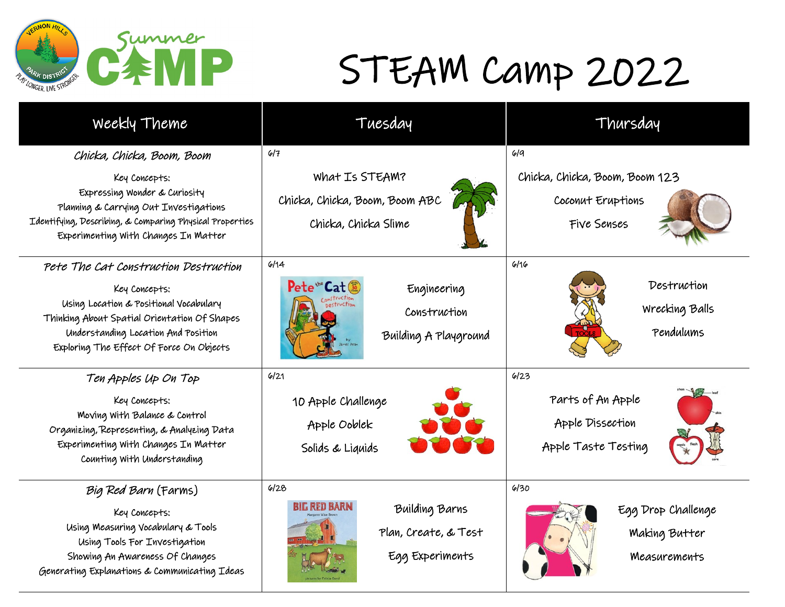

## STEAM Camp 2022

| Weekly Theme                                                                                                                                                                               | Tuesday                                                                                      | Thursday                                   |
|--------------------------------------------------------------------------------------------------------------------------------------------------------------------------------------------|----------------------------------------------------------------------------------------------|--------------------------------------------|
| Chicka, Chicka, Boom, Boom<br>Key Concepts:                                                                                                                                                | 6/7<br>What Is STEAM?                                                                        | 619<br>Chicka, Chicka, Boom, Boom 123      |
| Expressing Wonder & Curiosity<br>Planning & Carrying Out Investigations<br>Identifying, Describing, & Comparing Physical Properties<br>Experimenting With Changes In Matter                | Chicka, Chicka, Boom, Boom ABC<br>Chicka, Chicka Slime                                       | Coconut Eruptions<br>Five Senses           |
| Pete The Cat Construction Destruction                                                                                                                                                      | 6/14                                                                                         | 6/16                                       |
| Key Concepts:<br>Using Location & Positional Vocabulary<br>Thinking About Spatial Orientation Of Shapes<br>Understanding Location And Position<br>Exploring The Effect Of Force On Objects | Pete <sup>te</sup> Cat <sup>30</sup><br>Engineering<br>Construction<br>Building A Playground | Destruction<br>Wrecking Balls<br>Pendulums |
| Ten Apples Up On Top                                                                                                                                                                       | 6/21                                                                                         | 6/23                                       |
| Key Concepts:                                                                                                                                                                              | 10 Apple Challenge                                                                           | Parts of An Apple                          |
| Moving With Balance & Control<br>Organizing, Representing, & Analyzing Data                                                                                                                | Apple Ooblek                                                                                 | Apple Dissection                           |
| Experimenting With Changes In Matter<br>Counting With Understanding                                                                                                                        | Solids & Liquids                                                                             | Apple Taste Testing                        |
| Big Red Barn (Farms)                                                                                                                                                                       | 6/28                                                                                         | 6130                                       |
| Key Concepts:                                                                                                                                                                              | BIL RED BARN<br>Building Barns                                                               | Egg Drop Challenge                         |
| Using Measuring Vocabulary & Tools<br>Using Tools For Investigation                                                                                                                        | Plan, Create, & Test                                                                         | <b>Making Butter</b>                       |
| Showing An Awareness Of Changes<br>Generating Explanations & Communicating Ideas                                                                                                           | Egg Experiments                                                                              | Measurements                               |